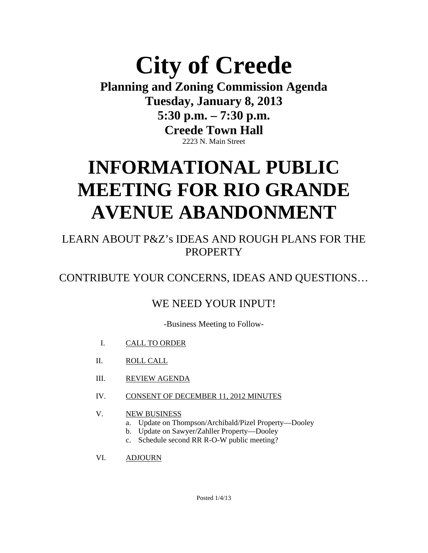# **City of Creede**

**Planning and Zoning Commission Agenda Tuesday, January 8, 2013 5:30 p.m. – 7:30 p.m. Creede Town Hall**  2223 N. Main Street

## **INFORMATIONAL PUBLIC MEETING FOR RIO GRANDE AVENUE ABANDONMENT**

LEARN ABOUT P&Z's IDEAS AND ROUGH PLANS FOR THE **PROPERTY** 

CONTRIBUTE YOUR CONCERNS, IDEAS AND QUESTIONS…

### WE NEED YOUR INPUT!

-Business Meeting to Follow-

- I. CALL TO ORDER
- II. ROLL CALL
- III. REVIEW AGENDA
- IV. CONSENT OF DECEMBER 11, 2012 MINUTES
- V. NEW BUSINESS
	- a. Update on Thompson/Archibald/Pizel Property—Dooley
	- b. Update on Sawyer/Zahller Property—Dooley
	- c. Schedule second RR R-O-W public meeting?
- VI. ADJOURN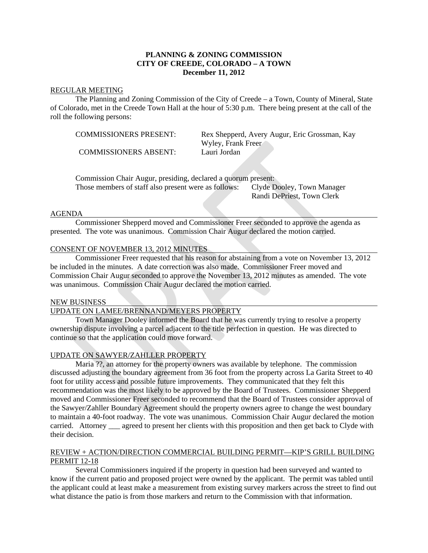#### **PLANNING & ZONING COMMISSION CITY OF CREEDE, COLORADO – A TOWN December 11, 2012**

#### REGULAR MEETING

 The Planning and Zoning Commission of the City of Creede – a Town, County of Mineral, State of Colorado, met in the Creede Town Hall at the hour of 5:30 p.m. There being present at the call of the roll the following persons:

COMMISSIONERS ABSENT: Lauri Jordan

 COMMISSIONERS PRESENT: Rex Shepperd, Avery Augur, Eric Grossman, Kay Wyley, Frank Freer

 Commission Chair Augur, presiding, declared a quorum present: Those members of staff also present were as follows: Clyde Dooley, Town Manager Randi DePriest, Town Clerk

#### AGENDA

 Commissioner Shepperd moved and Commissioner Freer seconded to approve the agenda as presented. The vote was unanimous. Commission Chair Augur declared the motion carried.

#### CONSENT OF NOVEMBER 13, 2012 MINUTES

 Commissioner Freer requested that his reason for abstaining from a vote on November 13, 2012 be included in the minutes. A date correction was also made. Commissioner Freer moved and Commission Chair Augur seconded to approve the November 13, 2012 minutes as amended. The vote was unanimous. Commission Chair Augur declared the motion carried.

#### NEW BUSINESS

#### UPDATE ON LAMEE/BRENNAND/MEYERS PROPERTY

 Town Manager Dooley informed the Board that he was currently trying to resolve a property ownership dispute involving a parcel adjacent to the title perfection in question. He was directed to continue so that the application could move forward.

#### UPDATE ON SAWYER/ZAHLLER PROPERTY

 Maria ??, an attorney for the property owners was available by telephone. The commission discussed adjusting the boundary agreement from 36 foot from the property across La Garita Street to 40 foot for utility access and possible future improvements. They communicated that they felt this recommendation was the most likely to be approved by the Board of Trustees. Commissioner Shepperd moved and Commissioner Freer seconded to recommend that the Board of Trustees consider approval of the Sawyer/Zahller Boundary Agreement should the property owners agree to change the west boundary to maintain a 40-foot roadway. The vote was unanimous. Commission Chair Augur declared the motion carried. Attorney \_\_\_ agreed to present her clients with this proposition and then get back to Clyde with their decision.

#### REVIEW + ACTION/DIRECTION COMMERCIAL BUILDING PERMIT—KIP'S GRILL BUILDING PERMIT 12-18

 Several Commissioners inquired if the property in question had been surveyed and wanted to know if the current patio and proposed project were owned by the applicant. The permit was tabled until the applicant could at least make a measurement from existing survey markers across the street to find out what distance the patio is from those markers and return to the Commission with that information.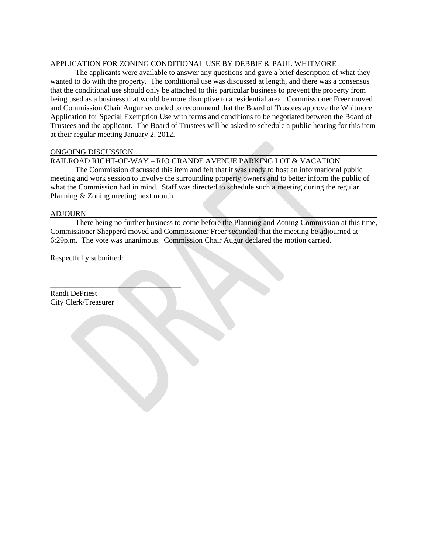#### APPLICATION FOR ZONING CONDITIONAL USE BY DEBBIE & PAUL WHITMORE

 The applicants were available to answer any questions and gave a brief description of what they wanted to do with the property. The conditional use was discussed at length, and there was a consensus that the conditional use should only be attached to this particular business to prevent the property from being used as a business that would be more disruptive to a residential area. Commissioner Freer moved and Commission Chair Augur seconded to recommend that the Board of Trustees approve the Whitmore Application for Special Exemption Use with terms and conditions to be negotiated between the Board of Trustees and the applicant. The Board of Trustees will be asked to schedule a public hearing for this item at their regular meeting January 2, 2012.

#### ONGOING DISCUSSION

#### RAILROAD RIGHT-OF-WAY – RIO GRANDE AVENUE PARKING LOT & VACATION

 The Commission discussed this item and felt that it was ready to host an informational public meeting and work session to involve the surrounding property owners and to better inform the public of what the Commission had in mind. Staff was directed to schedule such a meeting during the regular Planning & Zoning meeting next month.

#### ADJOURN

 There being no further business to come before the Planning and Zoning Commission at this time, Commissioner Shepperd moved and Commissioner Freer seconded that the meeting be adjourned at 6:29p.m. The vote was unanimous. Commission Chair Augur declared the motion carried.

Respectfully submitted:

 $\overline{\phantom{a}}$  , where  $\overline{\phantom{a}}$  , where  $\overline{\phantom{a}}$  ,  $\overline{\phantom{a}}$  ,  $\overline{\phantom{a}}$  ,  $\overline{\phantom{a}}$  ,  $\overline{\phantom{a}}$  ,  $\overline{\phantom{a}}$  ,  $\overline{\phantom{a}}$  ,  $\overline{\phantom{a}}$  ,  $\overline{\phantom{a}}$  ,  $\overline{\phantom{a}}$  ,  $\overline{\phantom{a}}$  ,  $\overline{\phantom{a}}$  ,  $\overline{\phantom{a}}$  ,

Randi DePriest City Clerk/Treasurer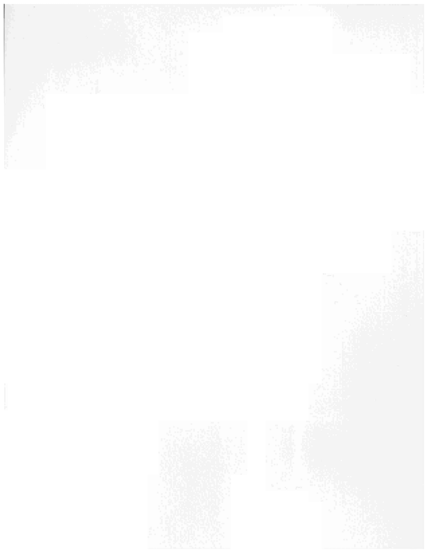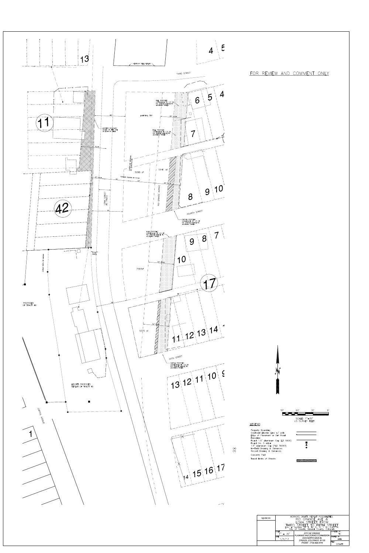